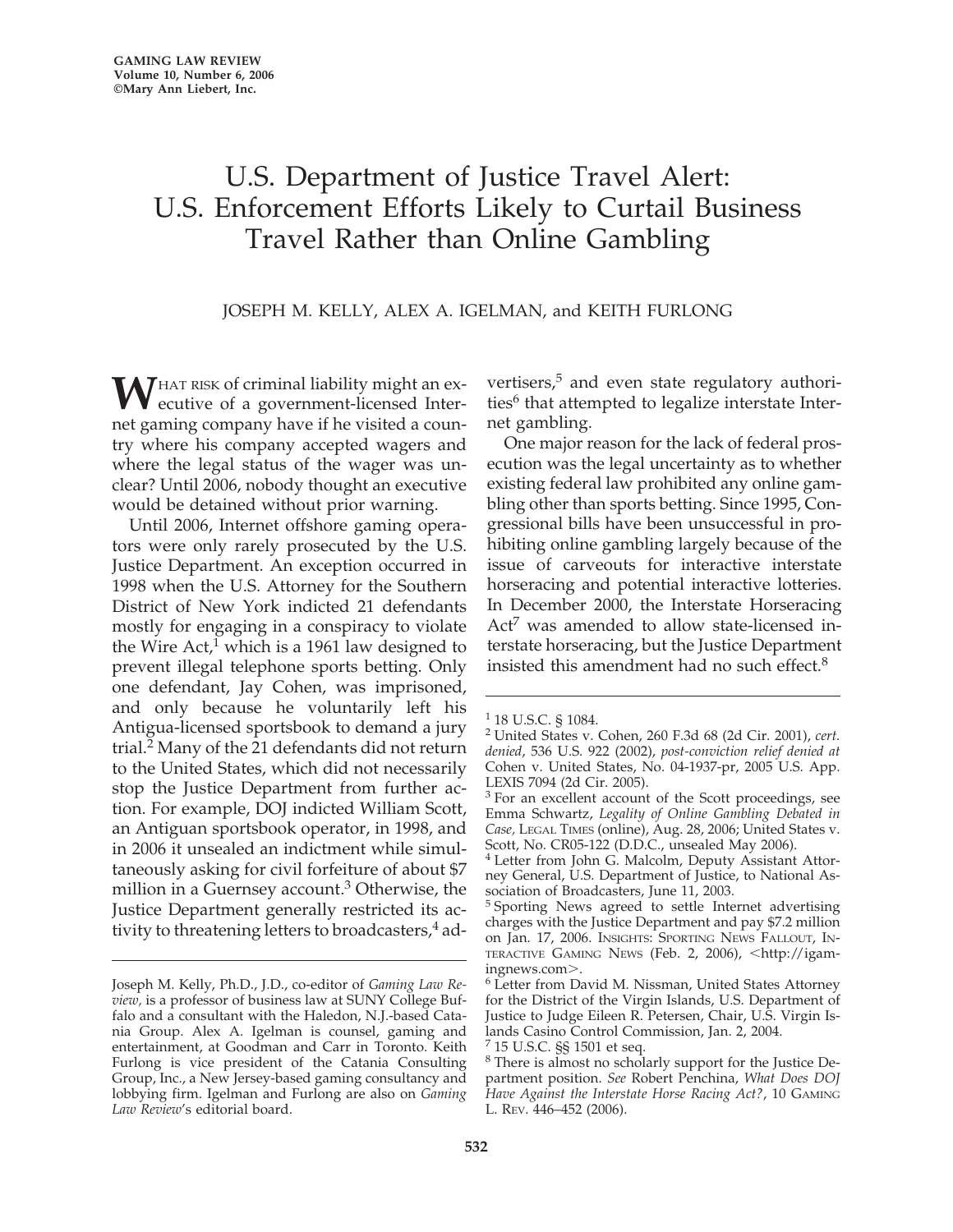## U.S. Department of Justice Travel Alert: U.S. Enforcement Efforts Likely to Curtail Business Travel Rather than Online Gambling

JOSEPH M. KELLY, ALEX A. IGELMAN, and KEITH FURLONG

**W**HAT RISK of criminal liability might an executive of a government-licensed Internet gaming company have if he visited a country where his company accepted wagers and where the legal status of the wager was unclear? Until 2006, nobody thought an executive would be detained without prior warning.

Until 2006, Internet offshore gaming operators were only rarely prosecuted by the U.S. Justice Department. An exception occurred in 1998 when the U.S. Attorney for the Southern District of New York indicted 21 defendants mostly for engaging in a conspiracy to violate the Wire  $Act<sup>1</sup>$  which is a 1961 law designed to prevent illegal telephone sports betting. Only one defendant, Jay Cohen, was imprisoned, and only because he voluntarily left his Antigua-licensed sportsbook to demand a jury trial.2 Many of the 21 defendants did not return to the United States, which did not necessarily stop the Justice Department from further action. For example, DOJ indicted William Scott, an Antiguan sportsbook operator, in 1998, and in 2006 it unsealed an indictment while simultaneously asking for civil forfeiture of about \$7 million in a Guernsey account.3 Otherwise, the Justice Department generally restricted its activity to threatening letters to broadcasters, $4$  advertisers,<sup>5</sup> and even state regulatory authorities $6$  that attempted to legalize interstate Internet gambling.

One major reason for the lack of federal prosecution was the legal uncertainty as to whether existing federal law prohibited any online gambling other than sports betting. Since 1995, Congressional bills have been unsuccessful in prohibiting online gambling largely because of the issue of carveouts for interactive interstate horseracing and potential interactive lotteries. In December 2000, the Interstate Horseracing Act<sup>7</sup> was amended to allow state-licensed interstate horseracing, but the Justice Department insisted this amendment had no such effect.<sup>8</sup>

Joseph M. Kelly, Ph.D., J.D., co-editor of *Gaming Law Review,* is a professor of business law at SUNY College Buffalo and a consultant with the Haledon, N.J.-based Catania Group. Alex A. Igelman is counsel, gaming and entertainment, at Goodman and Carr in Toronto. Keith Furlong is vice president of the Catania Consulting Group, Inc., a New Jersey-based gaming consultancy and lobbying firm. Igelman and Furlong are also on *Gaming Law Review*'s editorial board.

<sup>&</sup>lt;sup>1</sup> 18 U.S.C. § 1084.

<sup>2</sup> United States v. Cohen, 260 F.3d 68 (2d Cir. 2001), *cert. denied*, 536 U.S. 922 (2002), *post-conviction relief denied at* Cohen v. United States, No. 04-1937-pr, 2005 U.S. App. LEXIS 7094 (2d Cir. 2005).

<sup>&</sup>lt;sup>3</sup> For an excellent account of the Scott proceedings, see Emma Schwartz, *Legality of Online Gambling Debated in Case,* LEGAL TIMES (online), Aug. 28, 2006; United States v. Scott, No. CR05-122 (D.D.C., unsealed May 2006).

<sup>4</sup> Letter from John G. Malcolm, Deputy Assistant Attorney General, U.S. Department of Justice, to National Association of Broadcasters, June 11, 2003.

<sup>5</sup> Sporting News agreed to settle Internet advertising charges with the Justice Department and pay \$7.2 million on Jan. 17, 2006. INSIGHTS: SPORTING NEWS FALLOUT, IN-TERACTIVE GAMING NEWS (Feb. 2, 2006), <http://igam-

ingnews.com>.<br><sup>6</sup> Letter from David M. Nissman, United States Attorney for the District of the Virgin Islands, U.S. Department of Justice to Judge Eileen R. Petersen, Chair, U.S. Virgin Islands Casino Control Commission, Jan. 2, 2004.

<sup>7</sup> 15 U.S.C. §§ 1501 et seq.

<sup>8</sup> There is almost no scholarly support for the Justice Department position. *See* Robert Penchina, *What Does DOJ Have Against the Interstate Horse Racing Act?*, 10 GAMING L. REV. 446–452 (2006).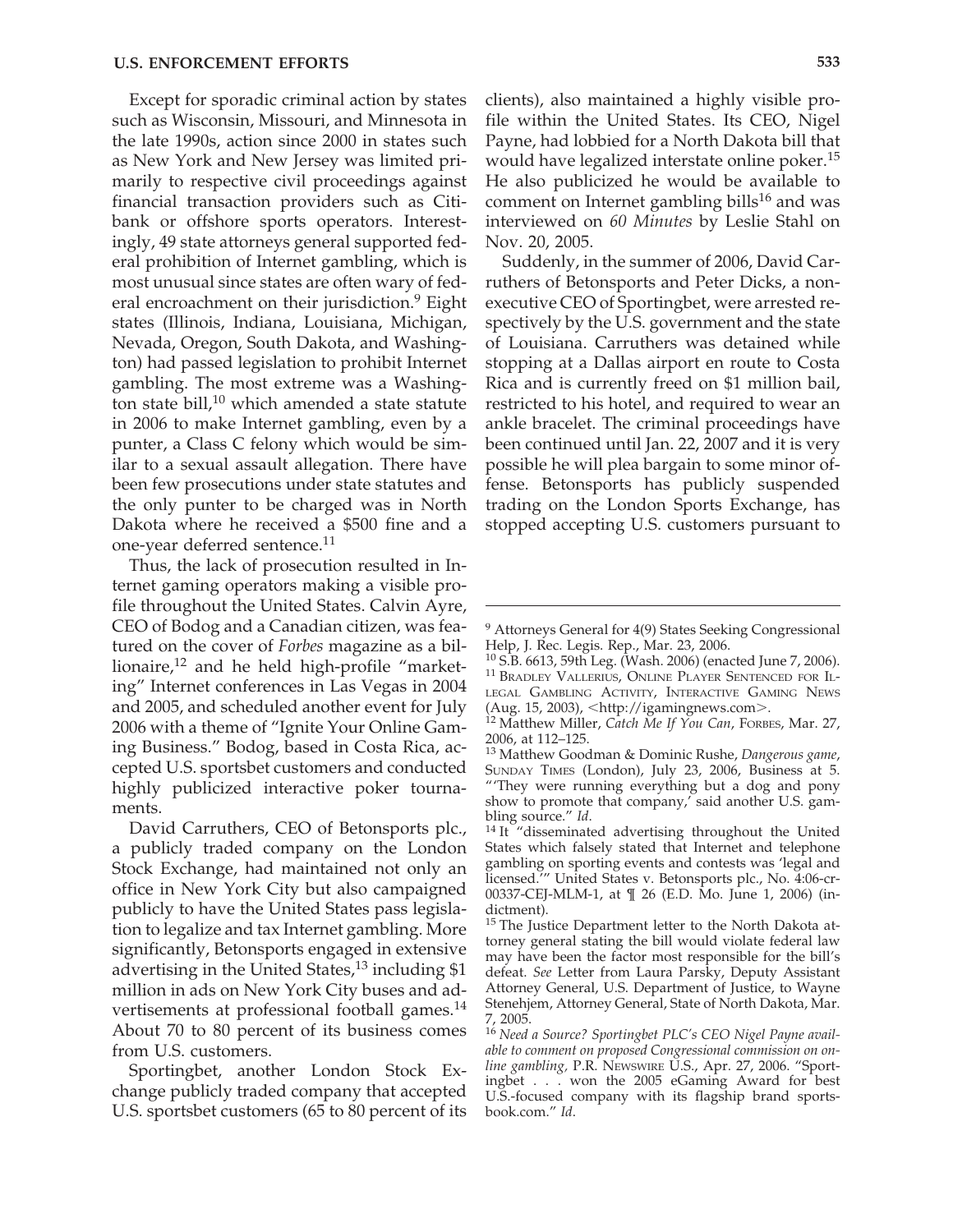Except for sporadic criminal action by states such as Wisconsin, Missouri, and Minnesota in the late 1990s, action since 2000 in states such as New York and New Jersey was limited primarily to respective civil proceedings against financial transaction providers such as Citibank or offshore sports operators. Interestingly, 49 state attorneys general supported federal prohibition of Internet gambling, which is most unusual since states are often wary of federal encroachment on their jurisdiction.<sup>9</sup> Eight states (Illinois, Indiana, Louisiana, Michigan, Nevada, Oregon, South Dakota, and Washington) had passed legislation to prohibit Internet gambling. The most extreme was a Washington state bill, $10$  which amended a state statute in 2006 to make Internet gambling, even by a punter, a Class C felony which would be similar to a sexual assault allegation. There have been few prosecutions under state statutes and the only punter to be charged was in North Dakota where he received a \$500 fine and a one-year deferred sentence.<sup>11</sup>

Thus, the lack of prosecution resulted in Internet gaming operators making a visible profile throughout the United States. Calvin Ayre, CEO of Bodog and a Canadian citizen, was featured on the cover of *Forbes* magazine as a billionaire,<sup>12</sup> and he held high-profile "marketing" Internet conferences in Las Vegas in 2004 and 2005, and scheduled another event for July 2006 with a theme of "Ignite Your Online Gaming Business." Bodog, based in Costa Rica, accepted U.S. sportsbet customers and conducted highly publicized interactive poker tournaments.

David Carruthers, CEO of Betonsports plc., a publicly traded company on the London Stock Exchange, had maintained not only an office in New York City but also campaigned publicly to have the United States pass legislation to legalize and tax Internet gambling. More significantly, Betonsports engaged in extensive advertising in the United States, $13$  including \$1 million in ads on New York City buses and advertisements at professional football games.14 About 70 to 80 percent of its business comes from U.S. customers.

Sportingbet, another London Stock Exchange publicly traded company that accepted U.S. sportsbet customers (65 to 80 percent of its

clients), also maintained a highly visible profile within the United States. Its CEO, Nigel Payne, had lobbied for a North Dakota bill that would have legalized interstate online poker.<sup>15</sup> He also publicized he would be available to comment on Internet gambling bills<sup>16</sup> and was interviewed on *60 Minutes* by Leslie Stahl on Nov. 20, 2005.

Suddenly, in the summer of 2006, David Carruthers of Betonsports and Peter Dicks, a nonexecutive CEO of Sportingbet, were arrested respectively by the U.S. government and the state of Louisiana. Carruthers was detained while stopping at a Dallas airport en route to Costa Rica and is currently freed on \$1 million bail, restricted to his hotel, and required to wear an ankle bracelet. The criminal proceedings have been continued until Jan. 22, 2007 and it is very possible he will plea bargain to some minor offense. Betonsports has publicly suspended trading on the London Sports Exchange, has stopped accepting U.S. customers pursuant to

<sup>&</sup>lt;sup>9</sup> Attorneys General for 4(9) States Seeking Congressional Help, J. Rec. Legis. Rep., Mar. 23, 2006.<br><sup>10</sup> S.B. 6613, 59th Leg. (Wash. 2006) (enacted June 7, 2006).

<sup>&</sup>lt;sup>11</sup> BRADLEY VALLERIUS, ONLINE PLAYER SENTENCED FOR IL-LEGAL GAMBLING ACTIVITY, INTERACTIVE GAMING NEWS (Aug. 15, 2003), <http://igamingnews.com>.

<sup>&</sup>lt;sup>12</sup> Matthew Miller, *Catch Me If You Can*, FORBES, Mar. 27, 2006, at 112–125.

<sup>13</sup> Matthew Goodman & Dominic Rushe, *Dangerous game*, SUNDAY TIMES (London), July 23, 2006, Business at 5. "'They were running everything but a dog and pony show to promote that company,' said another U.S. gam-

bling source." *Id*.<br><sup>14</sup> It "disseminated advertising throughout the United States which falsely stated that Internet and telephone gambling on sporting events and contests was 'legal and licensed.'" United States v. Betonsports plc., No. 4:06-cr-00337-CEJ-MLM-1, at ¶ 26 (E.D. Mo. June 1, 2006) (indictment).

<sup>&</sup>lt;sup>15</sup> The Justice Department letter to the North Dakota attorney general stating the bill would violate federal law may have been the factor most responsible for the bill's defeat. *See* Letter from Laura Parsky, Deputy Assistant Attorney General, U.S. Department of Justice, to Wayne Stenehjem, Attorney General, State of North Dakota, Mar. 7, 2005.

<sup>16</sup> *Need a Source? Sportingbet PLC's CEO Nigel Payne available to comment on proposed Congressional commission on online gambling,* P.R. NEWSWIRE U.S., Apr. 27, 2006. "Sportingbet . . . won the 2005 eGaming Award for best U.S.-focused company with its flagship brand sportsbook.com." *Id*.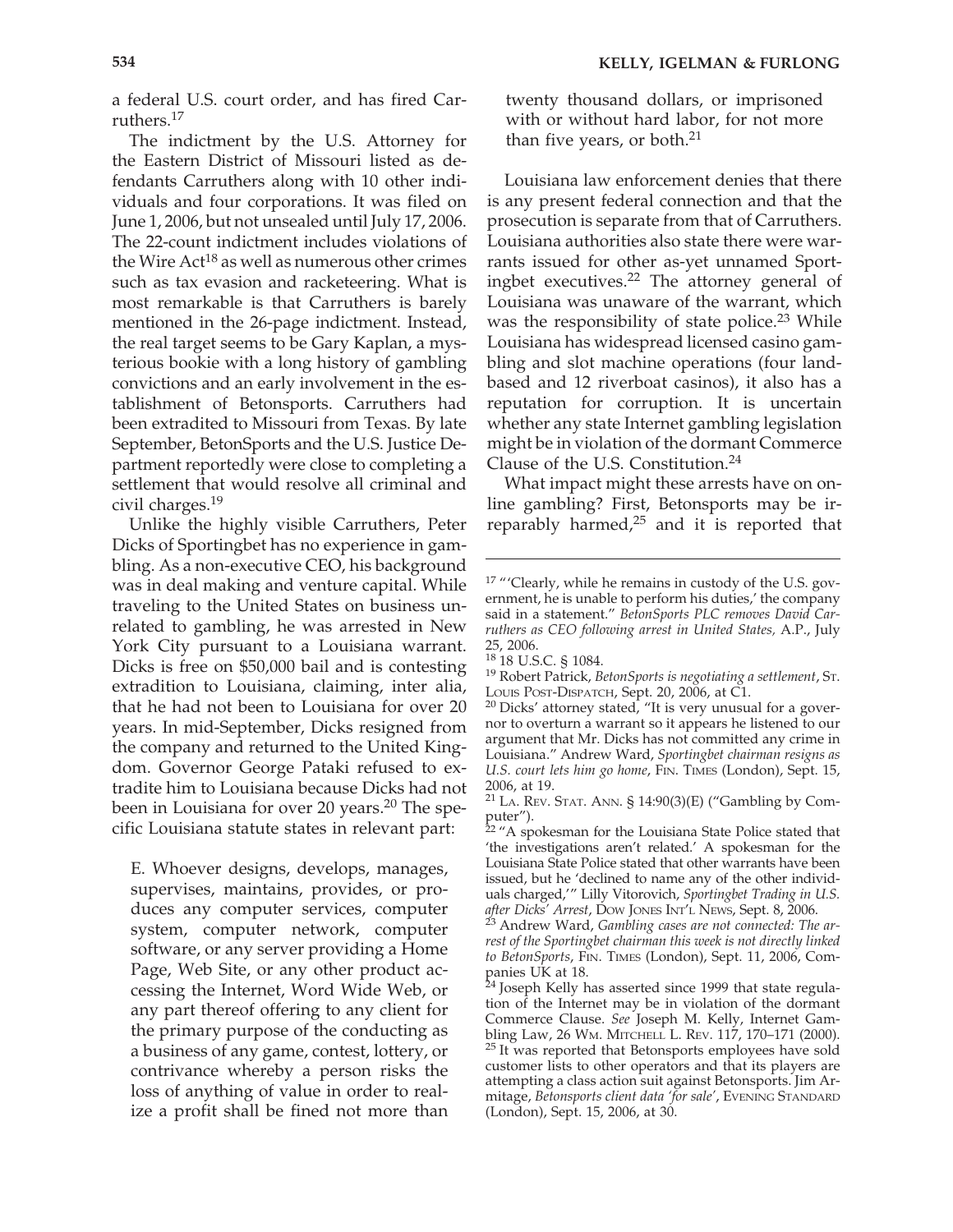a federal U.S. court order, and has fired Carruthers.<sup>17</sup>

The indictment by the U.S. Attorney for the Eastern District of Missouri listed as defendants Carruthers along with 10 other individuals and four corporations. It was filed on June 1, 2006, but not unsealed until July 17, 2006. The 22-count indictment includes violations of the Wire Act<sup>18</sup> as well as numerous other crimes such as tax evasion and racketeering. What is most remarkable is that Carruthers is barely mentioned in the 26-page indictment. Instead, the real target seems to be Gary Kaplan, a mysterious bookie with a long history of gambling convictions and an early involvement in the establishment of Betonsports. Carruthers had been extradited to Missouri from Texas. By late September, BetonSports and the U.S. Justice Department reportedly were close to completing a settlement that would resolve all criminal and civil charges.19

Unlike the highly visible Carruthers, Peter Dicks of Sportingbet has no experience in gambling. As a non-executive CEO, his background was in deal making and venture capital. While traveling to the United States on business unrelated to gambling, he was arrested in New York City pursuant to a Louisiana warrant. Dicks is free on \$50,000 bail and is contesting extradition to Louisiana, claiming, inter alia, that he had not been to Louisiana for over 20 years. In mid-September, Dicks resigned from the company and returned to the United Kingdom. Governor George Pataki refused to extradite him to Louisiana because Dicks had not been in Louisiana for over 20 years.<sup>20</sup> The specific Louisiana statute states in relevant part:

E. Whoever designs, develops, manages, supervises, maintains, provides, or produces any computer services, computer system, computer network, computer software, or any server providing a Home Page, Web Site, or any other product accessing the Internet, Word Wide Web, or any part thereof offering to any client for the primary purpose of the conducting as a business of any game, contest, lottery, or contrivance whereby a person risks the loss of anything of value in order to realize a profit shall be fined not more than twenty thousand dollars, or imprisoned with or without hard labor, for not more than five years, or both. $21$ 

Louisiana law enforcement denies that there is any present federal connection and that the prosecution is separate from that of Carruthers. Louisiana authorities also state there were warrants issued for other as-yet unnamed Sportingbet executives.<sup>22</sup> The attorney general of Louisiana was unaware of the warrant, which was the responsibility of state police.<sup>23</sup> While Louisiana has widespread licensed casino gambling and slot machine operations (four landbased and 12 riverboat casinos), it also has a reputation for corruption. It is uncertain whether any state Internet gambling legislation might be in violation of the dormant Commerce Clause of the U.S. Constitution.24

What impact might these arrests have on online gambling? First, Betonsports may be irreparably harmed,25 and it is reported that

<sup>&</sup>lt;sup>17</sup> "'Clearly, while he remains in custody of the U.S. government, he is unable to perform his duties,' the company said in a statement." *BetonSports PLC removes David Carruthers as CEO following arrest in United States,* A.P., July 25, 2006.<br><sup>18</sup> 18 U.S.C. § 1084.

<sup>&</sup>lt;sup>19</sup> Robert Patrick, *BetonSports is negotiating a settlement*, St. Louis Post-Disparch, Sept. 20, 2006, at C1.

 $20$  Dicks' attorney stated, "It is very unusual for a governor to overturn a warrant so it appears he listened to our argument that Mr. Dicks has not committed any crime in Louisiana." Andrew Ward, *Sportingbet chairman resigns as U.S. court lets him go home*, FIN. TIMES (London), Sept. 15, 2006, at 19.

 $21$  LA. REV. STAT. ANN. § 14:90(3)(E) ("Gambling by Computer").

 $22$  "A spokesman for the Louisiana State Police stated that 'the investigations aren't related.' A spokesman for the Louisiana State Police stated that other warrants have been issued, but he 'declined to name any of the other individuals charged,'" Lilly Vitorovich, *Sportingbet Trading in U.S. after Dicks' Arrest*, DOW JONES INT'L NEWS, Sept. 8, 2006. <sup>23</sup> Andrew Ward, *Gambling cases are not connected: The ar-*

*rest of the Sportingbet chairman this week is not directly linked to BetonSports*, FIN. TIMES (London), Sept. 11, 2006, Companies UK at 18.

 $24$  Joseph Kelly has asserted since 1999 that state regulation of the Internet may be in violation of the dormant Commerce Clause. *See* Joseph M. Kelly, Internet Gam-<br>bling Law, 26 Wm. MITCHELL L. REV. 117, 170–171 (2000).  $25$  It was reported that Betonsports employees have sold customer lists to other operators and that its players are attempting a class action suit against Betonsports. Jim Armitage, *Betonsports client data 'for sale'*, EVENING STANDARD (London), Sept. 15, 2006, at 30.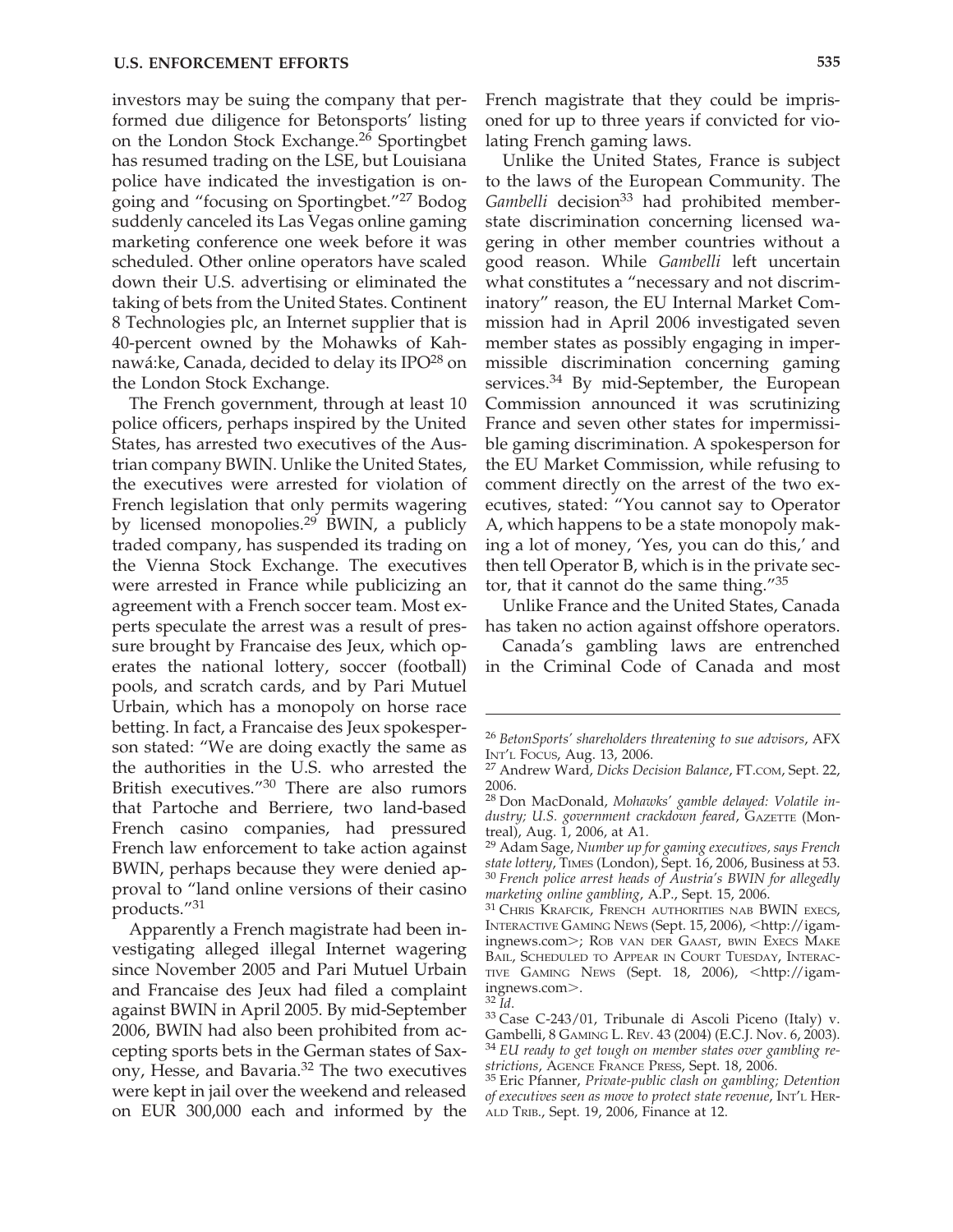investors may be suing the company that performed due diligence for Betonsports' listing on the London Stock Exchange.<sup>26</sup> Sportingbet has resumed trading on the LSE, but Louisiana police have indicated the investigation is ongoing and "focusing on Sportingbet."27 Bodog suddenly canceled its Las Vegas online gaming marketing conference one week before it was scheduled. Other online operators have scaled down their U.S. advertising or eliminated the taking of bets from the United States. Continent 8 Technologies plc, an Internet supplier that is 40-percent owned by the Mohawks of Kahnawá:ke, Canada, decided to delay its IPO $^{28}$  on the London Stock Exchange.

The French government, through at least 10 police officers, perhaps inspired by the United States, has arrested two executives of the Austrian company BWIN. Unlike the United States, the executives were arrested for violation of French legislation that only permits wagering by licensed monopolies.<sup>29</sup> BWIN, a publicly traded company, has suspended its trading on the Vienna Stock Exchange. The executives were arrested in France while publicizing an agreement with a French soccer team. Most experts speculate the arrest was a result of pressure brought by Francaise des Jeux, which operates the national lottery, soccer (football) pools, and scratch cards, and by Pari Mutuel Urbain, which has a monopoly on horse race betting. In fact, a Francaise des Jeux spokesperson stated: "We are doing exactly the same as the authorities in the U.S. who arrested the British executives."<sup>30</sup> There are also rumors that Partoche and Berriere, two land-based French casino companies, had pressured French law enforcement to take action against BWIN, perhaps because they were denied approval to "land online versions of their casino products."31

Apparently a French magistrate had been investigating alleged illegal Internet wagering since November 2005 and Pari Mutuel Urbain and Francaise des Jeux had filed a complaint against BWIN in April 2005. By mid-September 2006, BWIN had also been prohibited from accepting sports bets in the German states of Saxony, Hesse, and Bavaria.32 The two executives were kept in jail over the weekend and released on EUR 300,000 each and informed by the

French magistrate that they could be imprisoned for up to three years if convicted for violating French gaming laws.

Unlike the United States, France is subject to the laws of the European Community. The Gambelli decision<sup>33</sup> had prohibited memberstate discrimination concerning licensed wagering in other member countries without a good reason. While *Gambelli* left uncertain what constitutes a "necessary and not discriminatory" reason, the EU Internal Market Commission had in April 2006 investigated seven member states as possibly engaging in impermissible discrimination concerning gaming services.<sup>34</sup> By mid-September, the European Commission announced it was scrutinizing France and seven other states for impermissible gaming discrimination. A spokesperson for the EU Market Commission, while refusing to comment directly on the arrest of the two executives, stated: "You cannot say to Operator A, which happens to be a state monopoly making a lot of money, 'Yes, you can do this,' and then tell Operator B, which is in the private sector, that it cannot do the same thing."35

Unlike France and the United States, Canada has taken no action against offshore operators.

Canada's gambling laws are entrenched in the Criminal Code of Canada and most

<sup>26</sup> *BetonSports' shareholders threatening to sue advisors*, AFX

INT'L FOCUS, Aug. 13, 2006. <sup>27</sup> Andrew Ward, *Dicks Decision Balance*, FT.COM, Sept. 22, 2006.

<sup>28</sup> Don MacDonald, *Mohawks' gamble delayed: Volatile industry; U.S. government crackdown feared*, GAZETTE (Montreal), Aug. 1, 2006, at A1.

<sup>29</sup> Adam Sage, *Number up for gaming executives, says French state lottery*, TIMES (London), Sept. 16, 2006, Business at 53. <sup>30</sup> *French police arrest heads of Austria's BWIN for allegedly marketing online gambling,* A.P., Sept. 15, 2006.<br><sup>31</sup> Chris Krafcik, French authorities nab BWIN execs,

INTERACTIVE GAMING NEWS (Sept. 15, 2006), <http://igamingnews.com>; ROB VAN DER GAAST, BWIN EXECS MAKE BAIL, SCHEDULED TO APPEAR IN COURT TUESDAY, INTERAC-TIVE GAMING NEWS (Sept. 18, 2006), <http://igam-

ingnews.com>.<br><sup>32</sup> *Id.* 33 Case C-243/01, Tribunale di Ascoli Piceno (Italy) v. Gambelli, 8 GAMING L. REV. 43 (2004) (E.C.J. Nov. 6, 2003). <sup>34</sup> EU ready to get tough on member states over gambling re-

*strictions*, AGENCE FRANCE PRESS, Sept. 18, 2006. <sup>35</sup> Eric Pfanner, *Private-public clash on gambling; Detention of executives seen as move to protect state revenue*, INT'L HER-ALD TRIB., Sept. 19, 2006, Finance at 12.